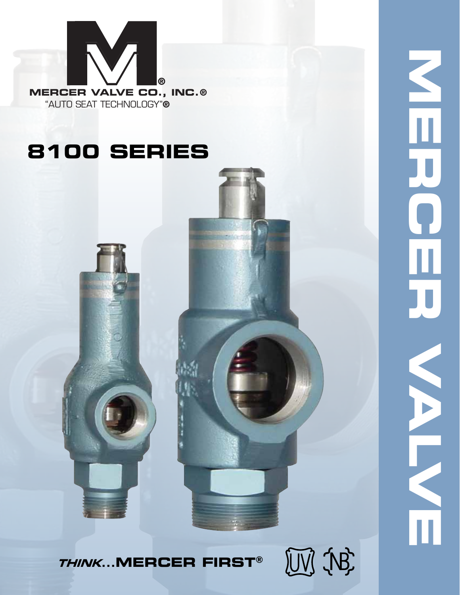

## **8100 SERIES**



**NERCER VALVE**